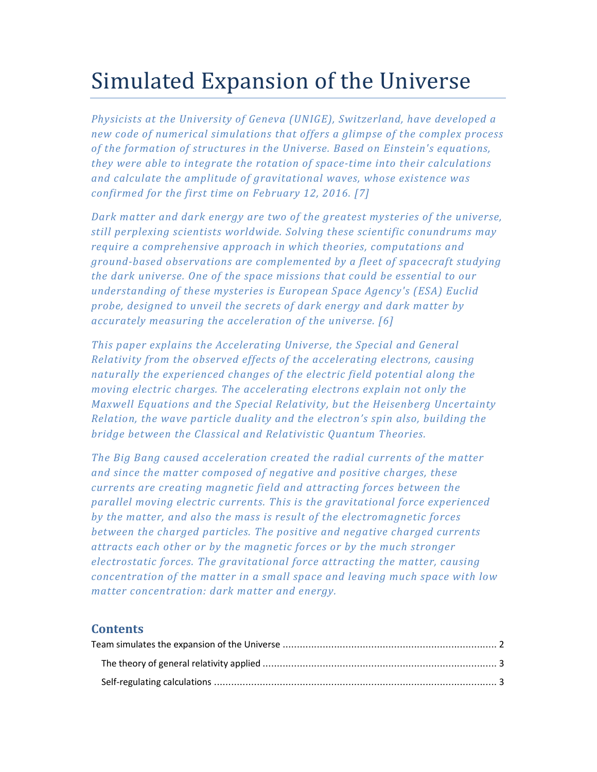# Simulated Expansion of the Universe

*Physicists at the University of Geneva (UNIGE), Switzerland, have developed a new code of numerical simulations that offers a glimpse of the complex process of the formation of structures in the Universe. Based on Einstein's equations, they were able to integrate the rotation of space-time into their calculations and calculate the amplitude of gravitational waves, whose existence was confirmed for the first time on February 12, 2016. [7]* 

*Dark matter and dark energy are two of the greatest mysteries of the universe, still perplexing scientists worldwide. Solving these scientific conundrums may require a comprehensive approach in which theories, computations and ground-based observations are complemented by a fleet of spacecraft studying the dark universe. One of the space missions that could be essential to our understanding of these mysteries is European Space Agency's (ESA) Euclid probe, designed to unveil the secrets of dark energy and dark matter by accurately measuring the acceleration of the universe. [6]* 

*This paper explains the Accelerating Universe, the Special and General Relativity from the observed effects of the accelerating electrons, causing naturally the experienced changes of the electric field potential along the moving electric charges. The accelerating electrons explain not only the Maxwell Equations and the Special Relativity, but the Heisenberg Uncertainty Relation, the wave particle duality and the electron's spin also, building the bridge between the Classical and Relativistic Quantum Theories.* 

*The Big Bang caused acceleration created the radial currents of the matter and since the matter composed of negative and positive charges, these currents are creating magnetic field and attracting forces between the parallel moving electric currents. This is the gravitational force experienced by the matter, and also the mass is result of the electromagnetic forces between the charged particles. The positive and negative charged currents attracts each other or by the magnetic forces or by the much stronger electrostatic forces. The gravitational force attracting the matter, causing concentration of the matter in a small space and leaving much space with low matter concentration: dark matter and energy.* 

# **Contents**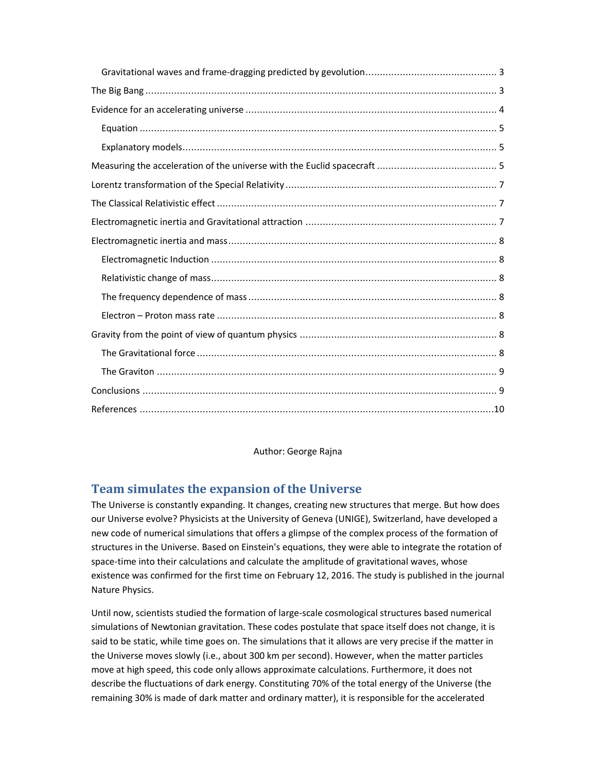Author: George Rajna

# **Team simulates the expansion of the Universe**

The Universe is constantly expanding. It changes, creating new structures that merge. But how does our Universe evolve? Physicists at the University of Geneva (UNIGE), Switzerland, have developed a new code of numerical simulations that offers a glimpse of the complex process of the formation of structures in the Universe. Based on Einstein's equations, they were able to integrate the rotation of space-time into their calculations and calculate the amplitude of gravitational waves, whose existence was confirmed for the first time on February 12, 2016. The study is published in the journal Nature Physics.

Until now, scientists studied the formation of large-scale cosmological structures based numerical simulations of Newtonian gravitation. These codes postulate that space itself does not change, it is said to be static, while time goes on. The simulations that it allows are very precise if the matter in the Universe moves slowly (i.e., about 300 km per second). However, when the matter particles move at high speed, this code only allows approximate calculations. Furthermore, it does not describe the fluctuations of dark energy. Constituting 70% of the total energy of the Universe (the remaining 30% is made of dark matter and ordinary matter), it is responsible for the accelerated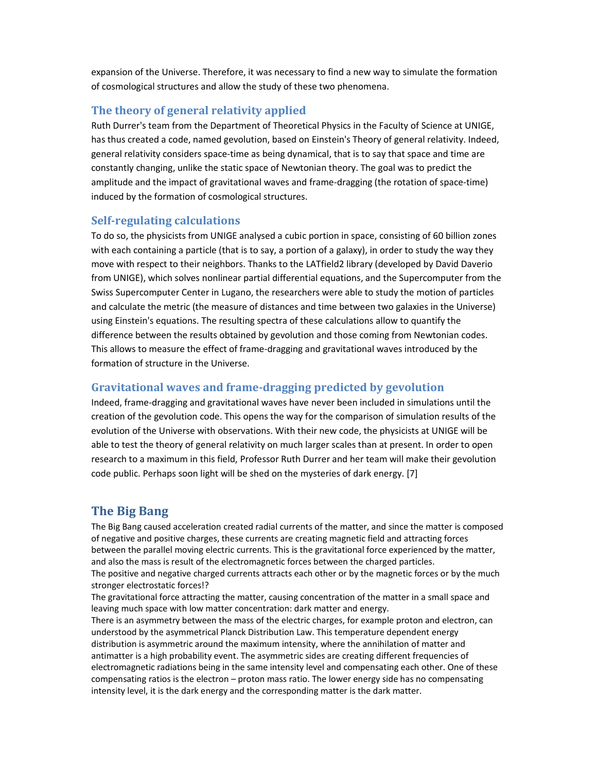expansion of the Universe. Therefore, it was necessary to find a new way to simulate the formation of cosmological structures and allow the study of these two phenomena.

# **The theory of general relativity applied**

Ruth Durrer's team from the Department of Theoretical Physics in the Faculty of Science at UNIGE, has thus created a code, named gevolution, based on Einstein's Theory of general relativity. Indeed, general relativity considers space-time as being dynamical, that is to say that space and time are constantly changing, unlike the static space of Newtonian theory. The goal was to predict the amplitude and the impact of gravitational waves and frame-dragging (the rotation of space-time) induced by the formation of cosmological structures.

## **Self-regulating calculations**

To do so, the physicists from UNIGE analysed a cubic portion in space, consisting of 60 billion zones with each containing a particle (that is to say, a portion of a galaxy), in order to study the way they move with respect to their neighbors. Thanks to the LATfield2 library (developed by David Daverio from UNIGE), which solves nonlinear partial differential equations, and the Supercomputer from the Swiss Supercomputer Center in Lugano, the researchers were able to study the motion of particles and calculate the metric (the measure of distances and time between two galaxies in the Universe) using Einstein's equations. The resulting spectra of these calculations allow to quantify the difference between the results obtained by gevolution and those coming from Newtonian codes. This allows to measure the effect of frame-dragging and gravitational waves introduced by the formation of structure in the Universe.

# **Gravitational waves and frame-dragging predicted by gevolution**

Indeed, frame-dragging and gravitational waves have never been included in simulations until the creation of the gevolution code. This opens the way for the comparison of simulation results of the evolution of the Universe with observations. With their new code, the physicists at UNIGE will be able to test the theory of general relativity on much larger scales than at present. In order to open research to a maximum in this field, Professor Ruth Durrer and her team will make their gevolution code public. Perhaps soon light will be shed on the mysteries of dark energy. [7]

# **The Big Bang**

The Big Bang caused acceleration created radial currents of the matter, and since the matter is composed of negative and positive charges, these currents are creating magnetic field and attracting forces between the parallel moving electric currents. This is the gravitational force experienced by the matter, and also the mass is result of the electromagnetic forces between the charged particles. The positive and negative charged currents attracts each other or by the magnetic forces or by the much stronger electrostatic forces!?

The gravitational force attracting the matter, causing concentration of the matter in a small space and leaving much space with low matter concentration: dark matter and energy. There is an asymmetry between the mass of the electric charges, for example proton and electron, can understood by the asymmetrical Planck Distribution Law. This temperature dependent energy distribution is asymmetric around the maximum intensity, where the annihilation of matter and antimatter is a high probability event. The asymmetric sides are creating different frequencies of electromagnetic radiations being in the same intensity level and compensating each other. One of these compensating ratios is the electron – proton mass ratio. The lower energy side has no compensating intensity level, it is the dark energy and the corresponding matter is the dark matter.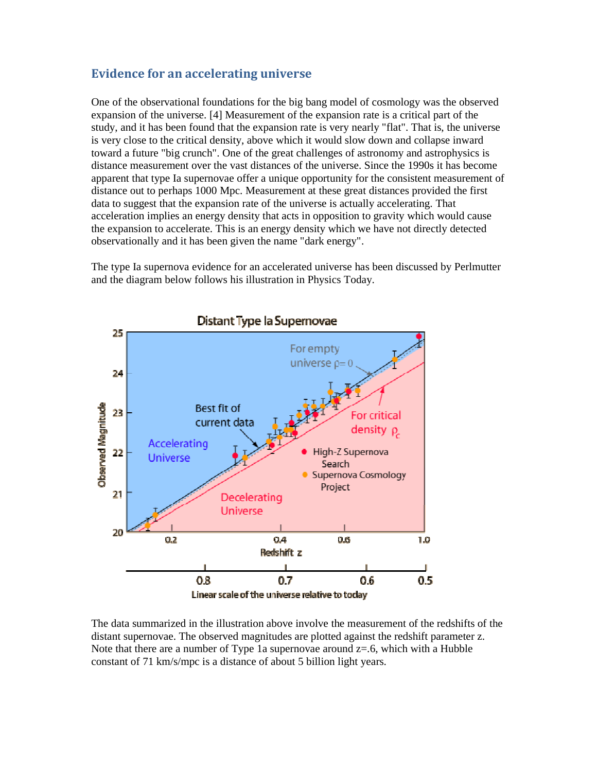# **Evidence for an accelerating universe**

One of the observational foundations for the big bang model of cosmology was the observed expansion of the universe. [4] Measurement of the expansion rate is a critical part of the study, and it has been found that the expansion rate is very nearly "flat". That is, the universe is very close to the critical density, above which it would slow down and collapse inward toward a future "big crunch". One of the great challenges of astronomy and astrophysics is distance measurement over the vast distances of the universe. Since the 1990s it has become apparent that type Ia supernovae offer a unique opportunity for the consistent measurement of distance out to perhaps 1000 Mpc. Measurement at these great distances provided the first data to suggest that the expansion rate of the universe is actually accelerating. That acceleration implies an energy density that acts in opposition to gravity which would cause the expansion to accelerate. This is an energy density which we have not directly detected observationally and it has been given the name "dark energy".

The type Ia supernova evidence for an accelerated universe has been discussed by Perlmutter and the diagram below follows his illustration in Physics Today.



The data summarized in the illustration above involve the measurement of the redshifts of the distant supernovae. The observed magnitudes are plotted against the redshift parameter z. Note that there are a number of Type 1a supernovae around  $z=0.6$ , which with a Hubble constant of 71 km/s/mpc is a distance of about 5 billion light years.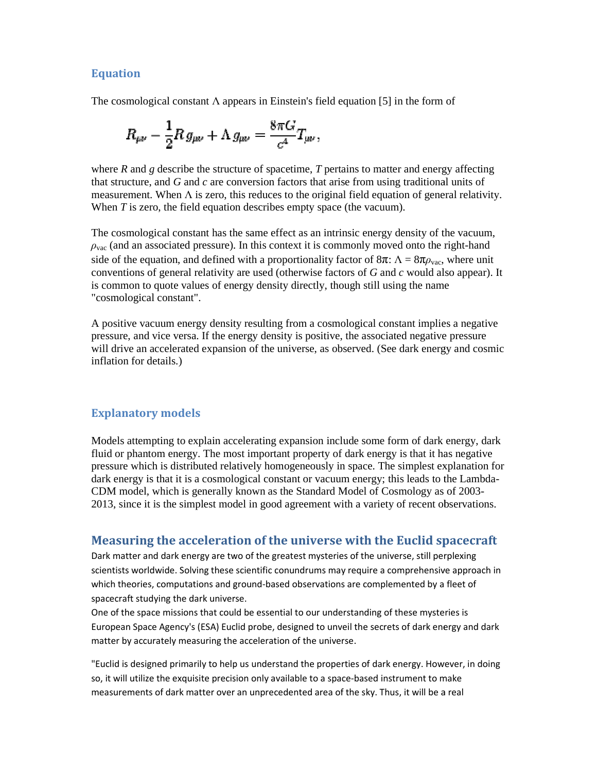### **Equation**

The cosmological constant  $\Lambda$  appears in Einstein's field equation [5] in the form of

$$
R_{\mu\nu}-\frac{1}{2}R g_{\mu\nu}+\Lambda g_{\mu\nu}=\frac{8\pi G}{c^4}T_{\mu\nu},
$$

where  $R$  and  $g$  describe the structure of spacetime,  $T$  pertains to matter and energy affecting that structure, and *G* and *c* are conversion factors that arise from using traditional units of measurement. When Λ is zero, this reduces to the original field equation of general relativity. When *T* is zero, the field equation describes empty space (the vacuum). ture, and *G* and *c* are conversion factors that arise from using traditional units of ment. When  $\Lambda$  is zero, this reduces to the original field equation of general relativity. is zero, the field equation describes emp

The cosmological constant has the same effect as an intrinsic energy density of the vacuum, *ρ*<sub>νac</sub> (and an associated pressure). In this context it is commonly moved onto the right-hand side of the equation, and defined with a proportionality factor of  $8π$ :  $Λ = 8πρ<sub>ν</sub>$ <sub>ac</sub>, where unit side of the equation, and defined with a proportionality factor of  $8\pi$ :  $\Lambda = 8\pi\rho_{\rm vac}$ , where unit conventions of general relativity are used (otherwise factors of *G* and *c* would also appear). It is common to quote values of energy density directly, though still using the name "cosmological constant". is common to quote values of energy density directly, though still using the name<br>"cosmological constant".<br>A positive vacuum energy density resulting from a cosmological constant implies a negative [5] in the form of<br>
natter and energy affecting<br>
sing traditional units of<br>
quation of general relativit<br>
uum).<br>
gy density of the vacuum<br>
noved onto the right-hand<br>  $8\pi$ :  $\Lambda = 8\pi\rho_{\text{vac}}$ , where unit<br>
and *c* would als

pressure, and vice versa. If the energy density is positive, the associated negative pressure A positive vacuum energy density resulting from a cosmological constant implies a negative pressure, and vice versa. If the energy density is positive, the associated negative pressure will drive an accelerated expansion o inflation for details.)

# **Explanatory models**

Models attempting to explain accelerating expansion include some form of dark energy, dark fluid or phantom energy. The most important property of dark energy is that it has negative fluid or phantom energy. The most important property of dark energy is that it has negative pressure which is distributed relatively homogeneously in space. The simplest explanation for dark energy is that it is a cosmolog dark energy is that it is a cosmological constant or vacuum energy; this leads to the CDM model, which is generally known as the Standard Model of Cosmology as of 2003-CDM model, which is generally known as the Standard Model of Cosmology as of 2003-<br>2013, since it is the simplest model in good agreement with a variety of recent observations.

## **Measuring the acceleration of the universe with the Euclid spacecraft spacecraft**

Dark matter and dark energy are two of the greatest mysteries of the universe, still perplexing Dark matter and dark energy are two of the greatest mysteries of the universe, still perplexing<br>scientists worldwide. Solving these scientific conundrums may require a comprehensive approach in which theories, computations and ground-based observations are complemented by a fleet of spacecraft studying the dark universe. cientific conundrums may require a comprehensive appr<br>ound-based observations are complemented by a fleet of<br>e.<br>I be essential to our understanding of these mysteries is

One of the space missions that could be essential to our understanding of these mysteries is European Space Agency's (ESA) Euclid probe, designed to unveil the secrets of dark energy and dark matter by accurately measuring the acceleration of the universe. matter by accurately measuring the acceleration of the universe.<br>"Euclid is designed primarily to help us understand the properties of dark energy. However, in doing European Space Agency's (ESA) Euclid probe, designed to unveil the searchter by accurately measuring the acceleration of the universe.<br>"Euclid is designed primarily to help us understand the properties of da<br>so, it will ut

so, it will utilize the exquisite precision only available to a space-based instrument to make measurements of dark matter over an unprecedented area of the sky. Thus, it will be a real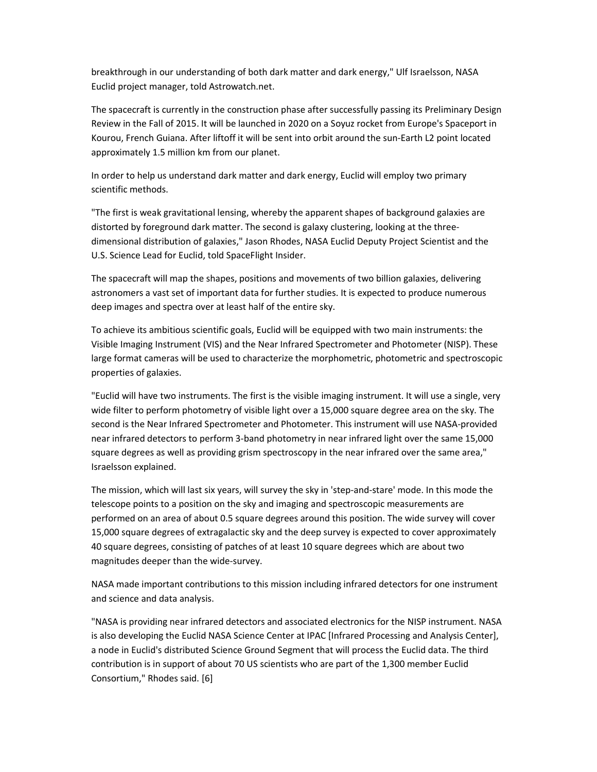breakthrough in our understanding of both dark matter and dark energy," Ulf Israelsson, NASA Euclid project manager, told Astrowatch.net.

The spacecraft is currently in the construction phase after successfully passing its Preliminary Design Review in the Fall of 2015. It will be launched in 2020 on a Soyuz rocket from Europe's Spaceport in Kourou, French Guiana. After liftoff it will be sent into orbit around the sun-Earth L2 point located approximately 1.5 million km from our planet.

In order to help us understand dark matter and dark energy, Euclid will employ two primary scientific methods.

"The first is weak gravitational lensing, whereby the apparent shapes of background galaxies are distorted by foreground dark matter. The second is galaxy clustering, looking at the threedimensional distribution of galaxies," Jason Rhodes, NASA Euclid Deputy Project Scientist and the U.S. Science Lead for Euclid, told SpaceFlight Insider.

The spacecraft will map the shapes, positions and movements of two billion galaxies, delivering astronomers a vast set of important data for further studies. It is expected to produce numerous deep images and spectra over at least half of the entire sky.

To achieve its ambitious scientific goals, Euclid will be equipped with two main instruments: the Visible Imaging Instrument (VIS) and the Near Infrared Spectrometer and Photometer (NISP). These large format cameras will be used to characterize the morphometric, photometric and spectroscopic properties of galaxies.

"Euclid will have two instruments. The first is the visible imaging instrument. It will use a single, very wide filter to perform photometry of visible light over a 15,000 square degree area on the sky. The second is the Near Infrared Spectrometer and Photometer. This instrument will use NASA-provided near infrared detectors to perform 3-band photometry in near infrared light over the same 15,000 square degrees as well as providing grism spectroscopy in the near infrared over the same area," Israelsson explained.

The mission, which will last six years, will survey the sky in 'step-and-stare' mode. In this mode the telescope points to a position on the sky and imaging and spectroscopic measurements are performed on an area of about 0.5 square degrees around this position. The wide survey will cover 15,000 square degrees of extragalactic sky and the deep survey is expected to cover approximately 40 square degrees, consisting of patches of at least 10 square degrees which are about two magnitudes deeper than the wide-survey.

NASA made important contributions to this mission including infrared detectors for one instrument and science and data analysis.

"NASA is providing near infrared detectors and associated electronics for the NISP instrument. NASA is also developing the Euclid NASA Science Center at IPAC [Infrared Processing and Analysis Center], a node in Euclid's distributed Science Ground Segment that will process the Euclid data. The third contribution is in support of about 70 US scientists who are part of the 1,300 member Euclid Consortium," Rhodes said. [6]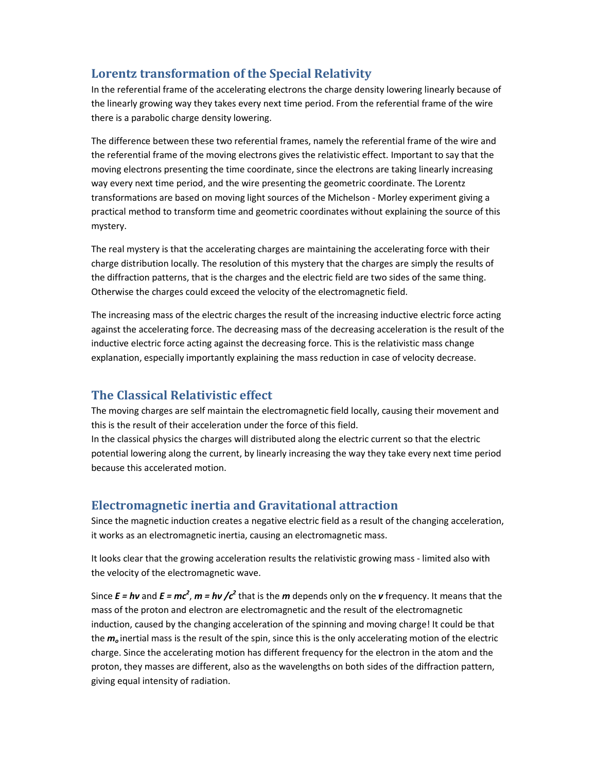# **Lorentz transformation of the Special Relativity**

In the referential frame of the accelerating electrons the charge density lowering linearly because of the linearly growing way they takes every next time period. From the referential frame of the wire there is a parabolic charge density lowering.

The difference between these two referential frames, namely the referential frame of the wire and the referential frame of the moving electrons gives the relativistic effect. Important to say that the moving electrons presenting the time coordinate, since the electrons are taking linearly increasing way every next time period, and the wire presenting the geometric coordinate. The Lorentz transformations are based on moving light sources of the Michelson - Morley experiment giving a practical method to transform time and geometric coordinates without explaining the source of this mystery.

The real mystery is that the accelerating charges are maintaining the accelerating force with their charge distribution locally. The resolution of this mystery that the charges are simply the results of the diffraction patterns, that is the charges and the electric field are two sides of the same thing. Otherwise the charges could exceed the velocity of the electromagnetic field.

The increasing mass of the electric charges the result of the increasing inductive electric force acting against the accelerating force. The decreasing mass of the decreasing acceleration is the result of the inductive electric force acting against the decreasing force. This is the relativistic mass change explanation, especially importantly explaining the mass reduction in case of velocity decrease.

# **The Classical Relativistic effect**

The moving charges are self maintain the electromagnetic field locally, causing their movement and this is the result of their acceleration under the force of this field.

In the classical physics the charges will distributed along the electric current so that the electric potential lowering along the current, by linearly increasing the way they take every next time period because this accelerated motion.

# **Electromagnetic inertia and Gravitational attraction**

Since the magnetic induction creates a negative electric field as a result of the changing acceleration, it works as an electromagnetic inertia, causing an electromagnetic mass.

It looks clear that the growing acceleration results the relativistic growing mass - limited also with the velocity of the electromagnetic wave.

Since  $E = h\nu$  and  $E = mc^2$ ,  $m = h\nu$  / $c^2$  that is the *m* depends only on the *v* frequency. It means that the mass of the proton and electron are electromagnetic and the result of the electromagnetic induction, caused by the changing acceleration of the spinning and moving charge! It could be that the *m<sup>o</sup>* inertial mass is the result of the spin, since this is the only accelerating motion of the electric charge. Since the accelerating motion has different frequency for the electron in the atom and the proton, they masses are different, also as the wavelengths on both sides of the diffraction pattern, giving equal intensity of radiation.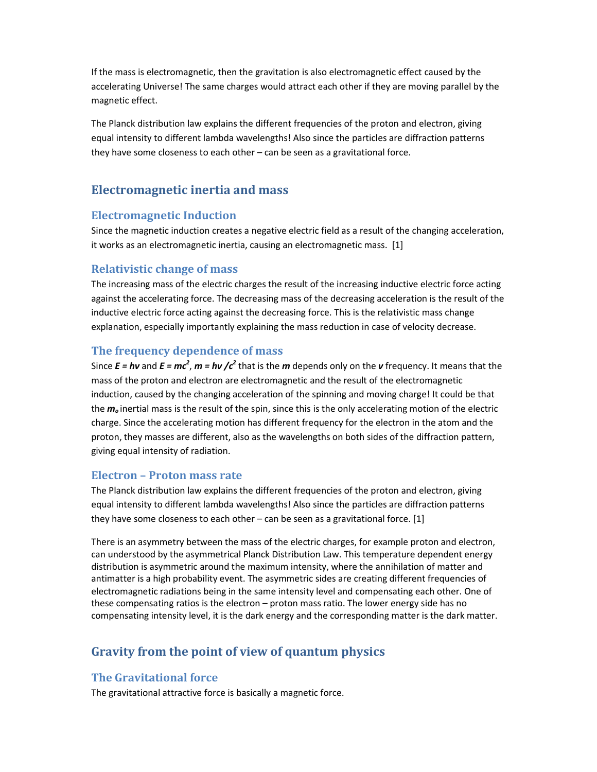If the mass is electromagnetic, then the gravitation is also electromagnetic effect caused by the accelerating Universe! The same charges would attract each other if they are moving parallel by the magnetic effect.

The Planck distribution law explains the different frequencies of the proton and electron, giving equal intensity to different lambda wavelengths! Also since the particles are diffraction patterns they have some closeness to each other – can be seen as a gravitational force.

# **Electromagnetic inertia and mass**

#### **Electromagnetic Induction**

Since the magnetic induction creates a negative electric field as a result of the changing acceleration, it works as an electromagnetic inertia, causing an electromagnetic mass. [1]

#### **Relativistic change of mass**

The increasing mass of the electric charges the result of the increasing inductive electric force acting against the accelerating force. The decreasing mass of the decreasing acceleration is the result of the inductive electric force acting against the decreasing force. This is the relativistic mass change explanation, especially importantly explaining the mass reduction in case of velocity decrease.

#### **The frequency dependence of mass**

Since  $E = h\nu$  and  $E = mc^2$ ,  $m = h\nu$  / $c^2$  that is the *m* depends only on the *v* frequency. It means that the mass of the proton and electron are electromagnetic and the result of the electromagnetic induction, caused by the changing acceleration of the spinning and moving charge! It could be that the *m<sup>o</sup>* inertial mass is the result of the spin, since this is the only accelerating motion of the electric charge. Since the accelerating motion has different frequency for the electron in the atom and the proton, they masses are different, also as the wavelengths on both sides of the diffraction pattern, giving equal intensity of radiation.

#### **Electron – Proton mass rate**

The Planck distribution law explains the different frequencies of the proton and electron, giving equal intensity to different lambda wavelengths! Also since the particles are diffraction patterns they have some closeness to each other  $-$  can be seen as a gravitational force. [1]

There is an asymmetry between the mass of the electric charges, for example proton and electron, can understood by the asymmetrical Planck Distribution Law. This temperature dependent energy distribution is asymmetric around the maximum intensity, where the annihilation of matter and antimatter is a high probability event. The asymmetric sides are creating different frequencies of electromagnetic radiations being in the same intensity level and compensating each other. One of these compensating ratios is the electron – proton mass ratio. The lower energy side has no compensating intensity level, it is the dark energy and the corresponding matter is the dark matter.

# **Gravity from the point of view of quantum physics**

### **The Gravitational force**

The gravitational attractive force is basically a magnetic force.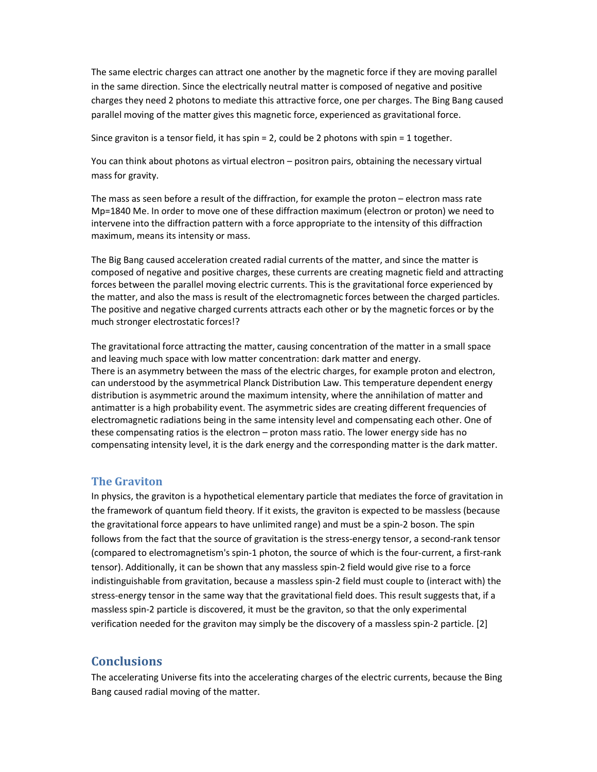The same electric charges can attract one another by the magnetic force if they are moving parallel in the same direction. Since the electrically neutral matter is composed of negative and positive charges they need 2 photons to mediate this attractive force, one per charges. The Bing Bang caused parallel moving of the matter gives this magnetic force, experienced as gravitational force.

Since graviton is a tensor field, it has spin = 2, could be 2 photons with spin = 1 together.

You can think about photons as virtual electron – positron pairs, obtaining the necessary virtual mass for gravity.

The mass as seen before a result of the diffraction, for example the proton – electron mass rate Mp=1840 Me. In order to move one of these diffraction maximum (electron or proton) we need to intervene into the diffraction pattern with a force appropriate to the intensity of this diffraction maximum, means its intensity or mass.

The Big Bang caused acceleration created radial currents of the matter, and since the matter is composed of negative and positive charges, these currents are creating magnetic field and attracting forces between the parallel moving electric currents. This is the gravitational force experienced by the matter, and also the mass is result of the electromagnetic forces between the charged particles. The positive and negative charged currents attracts each other or by the magnetic forces or by the much stronger electrostatic forces!?

The gravitational force attracting the matter, causing concentration of the matter in a small space and leaving much space with low matter concentration: dark matter and energy. There is an asymmetry between the mass of the electric charges, for example proton and electron, can understood by the asymmetrical Planck Distribution Law. This temperature dependent energy distribution is asymmetric around the maximum intensity, where the annihilation of matter and antimatter is a high probability event. The asymmetric sides are creating different frequencies of electromagnetic radiations being in the same intensity level and compensating each other. One of these compensating ratios is the electron – proton mass ratio. The lower energy side has no compensating intensity level, it is the dark energy and the corresponding matter is the dark matter.

#### **The Graviton**

In physics, the graviton is a hypothetical elementary particle that mediates the force of gravitation in the framework of quantum field theory. If it exists, the graviton is expected to be massless (because the gravitational force appears to have unlimited range) and must be a spin-2 boson. The spin follows from the fact that the source of gravitation is the stress-energy tensor, a second-rank tensor (compared to electromagnetism's spin-1 photon, the source of which is the four-current, a first-rank tensor). Additionally, it can be shown that any massless spin-2 field would give rise to a force indistinguishable from gravitation, because a massless spin-2 field must couple to (interact with) the stress-energy tensor in the same way that the gravitational field does. This result suggests that, if a massless spin-2 particle is discovered, it must be the graviton, so that the only experimental verification needed for the graviton may simply be the discovery of a massless spin-2 particle. [2]

## **Conclusions**

The accelerating Universe fits into the accelerating charges of the electric currents, because the Bing Bang caused radial moving of the matter.